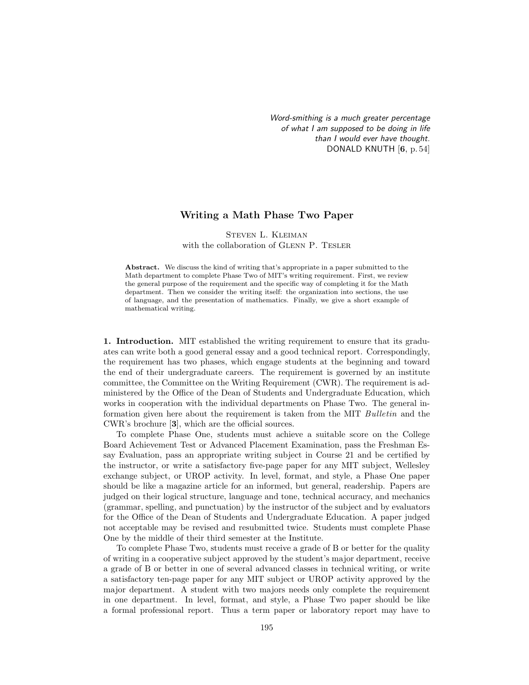*Word-smithing is a much greater percentage of what I am supposed to be doing in life than I would ever have thought.* DONALD KNUTH [6, p. 54]

## Writing a Math Phase Two Paper

Steven L. Kleiman with the collaboration of GLENN P. TESLER

Abstract. We discuss the kind of writing that's appropriate in a paper submitted to the Math department to complete Phase Two of MIT's writing requirement. First, we review the general purpose of the requirement and the specific way of completing it for the Math department. Then we consider the writing itself: the organization into sections, the use of language, and the presentation of mathematics. Finally, we give a short example of mathematical writing.

1. Introduction. MIT established the writing requirement to ensure that its graduates can write both a good general essay and a good technical report. Correspondingly, the requirement has two phases, which engage students at the beginning and toward the end of their undergraduate careers. The requirement is governed by an institute committee, the Committee on the Writing Requirement (CWR). The requirement is administered by the Office of the Dean of Students and Undergraduate Education, which works in cooperation with the individual departments on Phase Two. The general information given here about the requirement is taken from the MIT Bulletin and the CWR's brochure [3], which are the official sources.

To complete Phase One, students must achieve a suitable score on the College Board Achievement Test or Advanced Placement Examination, pass the Freshman Essay Evaluation, pass an appropriate writing subject in Course 21 and be certified by the instructor, or write a satisfactory five-page paper for any MIT subject, Wellesley exchange subject, or UROP activity. In level, format, and style, a Phase One paper should be like a magazine article for an informed, but general, readership. Papers are judged on their logical structure, language and tone, technical accuracy, and mechanics (grammar, spelling, and punctuation) by the instructor of the subject and by evaluators for the Office of the Dean of Students and Undergraduate Education. A paper judged not acceptable may be revised and resubmitted twice. Students must complete Phase One by the middle of their third semester at the Institute.

To complete Phase Two, students must receive a grade of B or better for the quality of writing in a cooperative subject approved by the student's major department, receive a grade of B or better in one of several advanced classes in technical writing, or write a satisfactory ten-page paper for any MIT subject or UROP activity approved by the major department. A student with two majors needs only complete the requirement in one department. In level, format, and style, a Phase Two paper should be like a formal professional report. Thus a term paper or laboratory report may have to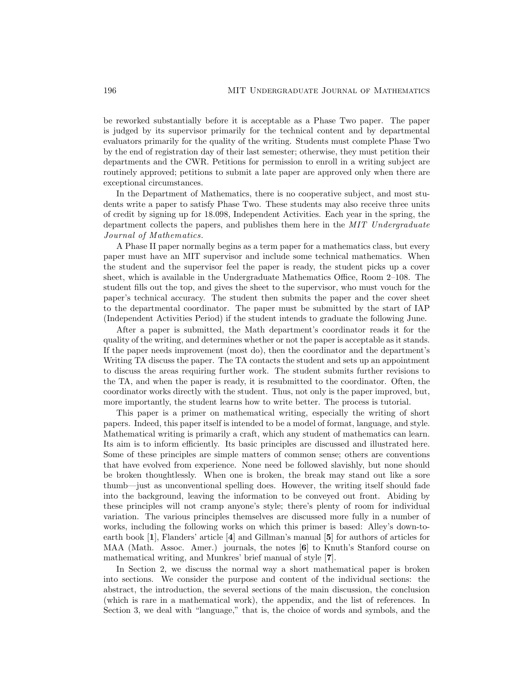be reworked substantially before it is acceptable as a Phase Two paper. The paper is judged by its supervisor primarily for the technical content and by departmental evaluators primarily for the quality of the writing. Students must complete Phase Two by the end of registration day of their last semester; otherwise, they must petition their departments and the CWR. Petitions for permission to enroll in a writing subject are routinely approved; petitions to submit a late paper are approved only when there are exceptional circumstances.

In the Department of Mathematics, there is no cooperative subject, and most students write a paper to satisfy Phase Two. These students may also receive three units of credit by signing up for 18.098, Independent Activities. Each year in the spring, the department collects the papers, and publishes them here in the MIT Undergraduate Journal of Mathematics.

A Phase II paper normally begins as a term paper for a mathematics class, but every paper must have an MIT supervisor and include some technical mathematics. When the student and the supervisor feel the paper is ready, the student picks up a cover sheet, which is available in the Undergraduate Mathematics Office, Room  $2-108$ . The student fills out the top, and gives the sheet to the supervisor, who must vouch for the paper's technical accuracy. The student then submits the paper and the cover sheet to the departmental coordinator. The paper must be submitted by the start of IAP (Independent Activities Period) if the student intends to graduate the following June.

After a paper is submitted, the Math department's coordinator reads it for the quality of the writing, and determines whether or not the paper is acceptable as it stands. If the paper needs improvement (most do), then the coordinator and the department's Writing TA discuss the paper. The TA contacts the student and sets up an appointment to discuss the areas requiring further work. The student submits further revisions to the TA, and when the paper is ready, it is resubmitted to the coordinator. Often, the coordinator works directly with the student. Thus, not only is the paper improved, but, more importantly, the student learns how to write better. The process is tutorial.

This paper is a primer on mathematical writing, especially the writing of short papers. Indeed, this paper itself is intended to be a model of format, language, and style. Mathematical writing is primarily a craft, which any student of mathematics can learn. Its aim is to inform efficiently. Its basic principles are discussed and illustrated here. Some of these principles are simple matters of common sense; others are conventions that have evolved from experience. None need be followed slavishly, but none should be broken thoughtlessly. When one is broken, the break may stand out like a sore thumb—just as unconventional spelling does. However, the writing itself should fade into the background, leaving the information to be conveyed out front. Abiding by these principles will not cramp anyone's style; there's plenty of room for individual variation. The various principles themselves are discussed more fully in a number of works, including the following works on which this primer is based: Alley's down-toearth book [1], Flanders' article [4] and Gillman's manual [5] for authors of articles for MAA (Math. Assoc. Amer.) journals, the notes [6] to Knuth's Stanford course on mathematical writing, and Munkres' brief manual of style [7].

In Section 2, we discuss the normal way a short mathematical paper is broken into sections. We consider the purpose and content of the individual sections: the abstract, the introduction, the several sections of the main discussion, the conclusion (which is rare in a mathematical work), the appendix, and the list of references. In Section 3, we deal with "language," that is, the choice of words and symbols, and the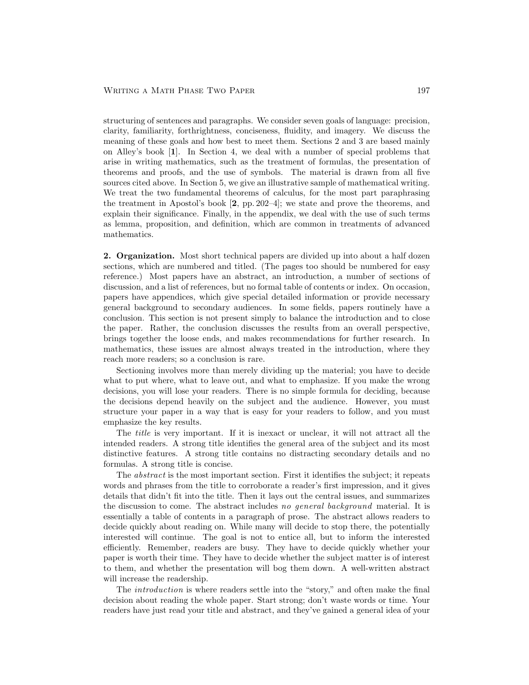structuring of sentences and paragraphs. We consider seven goals of language: precision, clarity, familiarity, forthrightness, conciseness, fluidity, and imagery. We discuss the meaning of these goals and how best to meet them. Sections 2 and 3 are based mainly on Alley's book [1]. In Section 4, we deal with a number of special problems that arise in writing mathematics, such as the treatment of formulas, the presentation of theorems and proofs, and the use of symbols. The material is drawn from all five sources cited above. In Section 5, we give an illustrative sample of mathematical writing. We treat the two fundamental theorems of calculus, for the most part paraphrasing the treatment in Apostol's book  $[2, pp. 202-4]$ ; we state and prove the theorems, and explain their significance. Finally, in the appendix, we deal with the use of such terms as lemma, proposition, and definition, which are common in treatments of advanced mathematics.

2. Organization. Most short technical papers are divided up into about a half dozen sections, which are numbered and titled. (The pages too should be numbered for easy reference.) Most papers have an abstract, an introduction, a number of sections of discussion, and a list of references, but no formal table of contents or index. On occasion, papers have appendices, which give special detailed information or provide necessary general background to secondary audiences. In some fields, papers routinely have a conclusion. This section is not present simply to balance the introduction and to close the paper. Rather, the conclusion discusses the results from an overall perspective, brings together the loose ends, and makes recommendations for further research. In mathematics, these issues are almost always treated in the introduction, where they reach more readers; so a conclusion is rare.

Sectioning involves more than merely dividing up the material; you have to decide what to put where, what to leave out, and what to emphasize. If you make the wrong decisions, you will lose your readers. There is no simple formula for deciding, because the decisions depend heavily on the subject and the audience. However, you must structure your paper in a way that is easy for your readers to follow, and you must emphasize the key results.

The title is very important. If it is inexact or unclear, it will not attract all the intended readers. A strong title identifies the general area of the subject and its most distinctive features. A strong title contains no distracting secondary details and no formulas. A strong title is concise.

The *abstract* is the most important section. First it identifies the subject; it repeats words and phrases from the title to corroborate a reader's first impression, and it gives details that didn't fit into the title. Then it lays out the central issues, and summarizes the discussion to come. The abstract includes no general background material. It is essentially a table of contents in a paragraph of prose. The abstract allows readers to decide quickly about reading on. While many will decide to stop there, the potentially interested will continue. The goal is not to entice all, but to inform the interested efficiently. Remember, readers are busy. They have to decide quickly whether your paper is worth their time. They have to decide whether the subject matter is of interest to them, and whether the presentation will bog them down. A well-written abstract will increase the readership.

The *introduction* is where readers settle into the "story," and often make the final decision about reading the whole paper. Start strong; don't waste words or time. Your readers have just read your title and abstract, and they've gained a general idea of your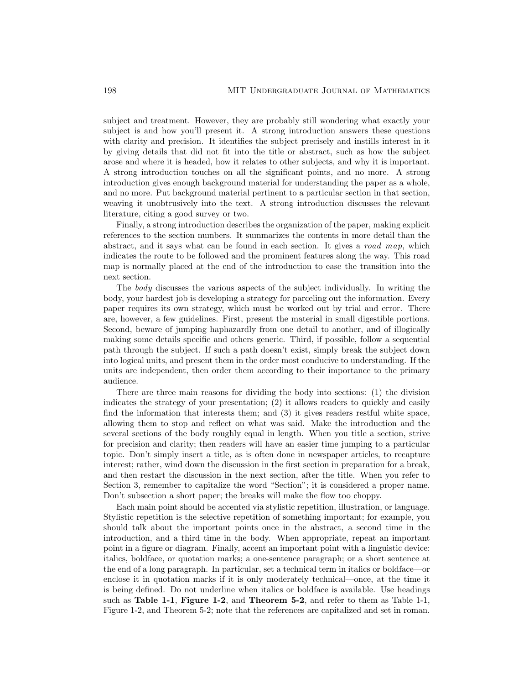subject and treatment. However, they are probably still wondering what exactly your subject is and how you'll present it. A strong introduction answers these questions with clarity and precision. It identifies the subject precisely and instills interest in it by giving details that did not fit into the title or abstract, such as how the subject arose and where it is headed, how it relates to other subjects, and why it is important. A strong introduction touches on all the significant points, and no more. A strong introduction gives enough background material for understanding the paper as a whole, and no more. Put background material pertinent to a particular section in that section, weaving it unobtrusively into the text. A strong introduction discusses the relevant literature, citing a good survey or two.

Finally, a strong introduction describes the organization of the paper, making explicit references to the section numbers. It summarizes the contents in more detail than the abstract, and it says what can be found in each section. It gives a road map, which indicates the route to be followed and the prominent features along the way. This road map is normally placed at the end of the introduction to ease the transition into the next section.

The body discusses the various aspects of the subject individually. In writing the body, your hardest job is developing a strategy for parceling out the information. Every paper requires its own strategy, which must be worked out by trial and error. There are, however, a few guidelines. First, present the material in small digestible portions. Second, beware of jumping haphazardly from one detail to another, and of illogically making some details specific and others generic. Third, if possible, follow a sequential path through the subject. If such a path doesn't exist, simply break the subject down into logical units, and present them in the order most conducive to understanding. If the units are independent, then order them according to their importance to the primary audience.

There are three main reasons for dividing the body into sections: (1) the division indicates the strategy of your presentation;  $(2)$  it allows readers to quickly and easily find the information that interests them; and (3) it gives readers restful white space, allowing them to stop and reflect on what was said. Make the introduction and the several sections of the body roughly equal in length. When you title a section, strive for precision and clarity; then readers will have an easier time jumping to a particular topic. Don't simply insert a title, as is often done in newspaper articles, to recapture interest; rather, wind down the discussion in the first section in preparation for a break, and then restart the discussion in the next section, after the title. When you refer to Section 3, remember to capitalize the word "Section"; it is considered a proper name. Don't subsection a short paper; the breaks will make the flow too choppy.

Each main point should be accented via stylistic repetition, illustration, or language. Stylistic repetition is the selective repetition of something important; for example, you should talk about the important points once in the abstract, a second time in the introduction, and a third time in the body. When appropriate, repeat an important point in a figure or diagram. Finally, accent an important point with a linguistic device: italics, boldface, or quotation marks; a one-sentence paragraph; or a short sentence at the end of a long paragraph. In particular, set a technical term in italics or boldface—or enclose it in quotation marks if it is only moderately technical—once, at the time it is being defined. Do not underline when italics or boldface is available. Use headings such as **Table 1-1, Figure 1-2, and Theorem 5-2, and refer to them as Table 1-1,** Figure 1-2, and Theorem 5-2; note that the references are capitalized and set in roman.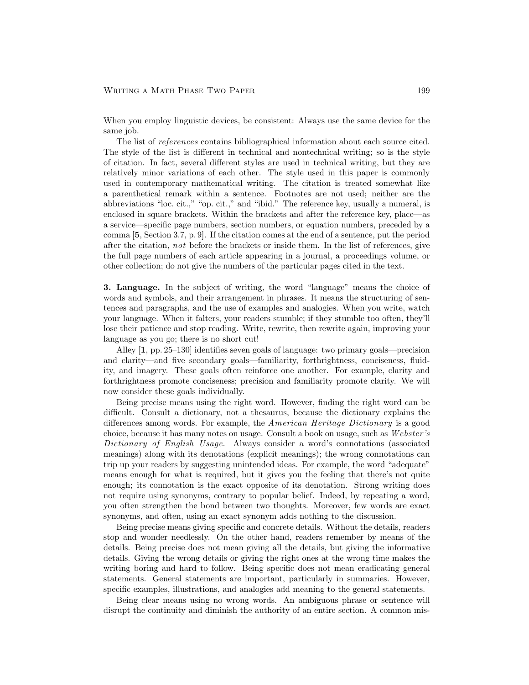## WRITING A MATH PHASE TWO PAPER 199

When you employ linguistic devices, be consistent: Always use the same device for the same job.

The list of references contains bibliographical information about each source cited. The style of the list is different in technical and nontechnical writing; so is the style of citation. In fact, several different styles are used in technical writing, but they are relatively minor variations of each other. The style used in this paper is commonly used in contemporary mathematical writing. The citation is treated somewhat like a parenthetical remark within a sentence. Footnotes are not used; neither are the abbreviations "loc. cit.," "op. cit.," and "ibid." The reference key, usually a numeral, is enclosed in square brackets. Within the brackets and after the reference key, place—as a service—specific page numbers, section numbers, or equation numbers, preceded by a comma [5, Section 3.7, p. 9]. If the citation comes at the end of a sentence, put the period after the citation, not before the brackets or inside them. In the list of references, give the full page numbers of each article appearing in a journal, a proceedings volume, or other collection; do not give the numbers of the particular pages cited in the text.

3. Language. In the subject of writing, the word "language" means the choice of words and symbols, and their arrangement in phrases. It means the structuring of sentences and paragraphs, and the use of examples and analogies. When you write, watch your language. When it falters, your readers stumble; if they stumble too often, they'll lose their patience and stop reading. Write, rewrite, then rewrite again, improving your language as you go; there is no short cut!

Alley  $[1, pp. 25-130]$  identifies seven goals of language: two primary goals—precision and clarity—and five secondary goals—familiarity, forthrightness, conciseness, fluidity, and imagery. These goals often reinforce one another. For example, clarity and forthrightness promote conciseness; precision and familiarity promote clarity. We will now consider these goals individually.

Being precise means using the right word. However, finding the right word can be difficult. Consult a dictionary, not a thesaurus, because the dictionary explains the differences among words. For example, the *American Heritage Dictionary* is a good choice, because it has many notes on usage. Consult a book on usage, such as Webster's Dictionary of English Usage. Always consider a word's connotations (associated meanings) along with its denotations (explicit meanings); the wrong connotations can trip up your readers by suggesting unintended ideas. For example, the word "adequate" means enough for what is required, but it gives you the feeling that there's not quite enough; its connotation is the exact opposite of its denotation. Strong writing does not require using synonyms, contrary to popular belief. Indeed, by repeating a word, you often strengthen the bond between two thoughts. Moreover, few words are exact synonyms, and often, using an exact synonym adds nothing to the discussion.

Being precise means giving specific and concrete details. Without the details, readers stop and wonder needlessly. On the other hand, readers remember by means of the details. Being precise does not mean giving all the details, but giving the informative details. Giving the wrong details or giving the right ones at the wrong time makes the writing boring and hard to follow. Being specific does not mean eradicating general statements. General statements are important, particularly in summaries. However, specific examples, illustrations, and analogies add meaning to the general statements.

Being clear means using no wrong words. An ambiguous phrase or sentence will disrupt the continuity and diminish the authority of an entire section. A common mis-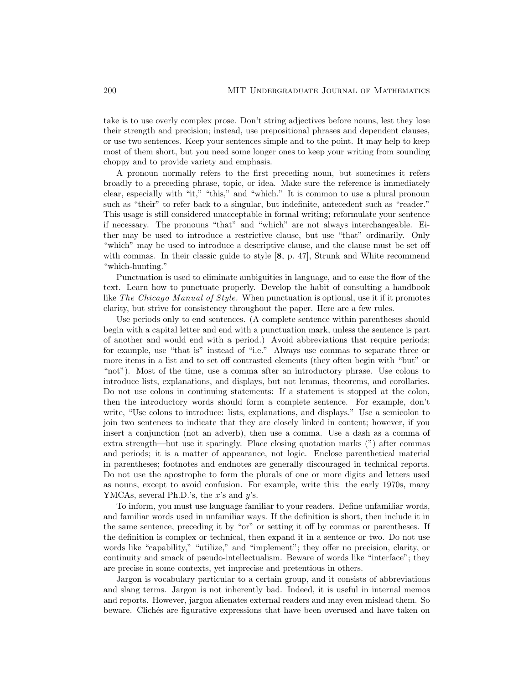take is to use overly complex prose. Don't string adjectives before nouns, lest they lose their strength and precision; instead, use prepositional phrases and dependent clauses, or use two sentences. Keep your sentences simple and to the point. It may help to keep most of them short, but you need some longer ones to keep your writing from sounding choppy and to provide variety and emphasis.

A pronoun normally refers to the first preceding noun, but sometimes it refers broadly to a preceding phrase, topic, or idea. Make sure the reference is immediately clear, especially with "it," "this," and "which." It is common to use a plural pronoun such as "their" to refer back to a singular, but indefinite, antecedent such as "reader." This usage is still considered unacceptable in formal writing; reformulate your sentence if necessary. The pronouns "that" and "which" are not always interchangeable. Either may be used to introduce a restrictive clause, but use "that" ordinarily. Only "which" may be used to introduce a descriptive clause, and the clause must be set off with commas. In their classic guide to style [8, p. 47], Strunk and White recommend "which-hunting."

Punctuation is used to eliminate ambiguities in language, and to ease the flow of the text. Learn how to punctuate properly. Develop the habit of consulting a handbook like The Chicago Manual of Style. When punctuation is optional, use it if it promotes clarity, but strive for consistency throughout the paper. Here are a few rules.

Use periods only to end sentences. (A complete sentence within parentheses should begin with a capital letter and end with a punctuation mark, unless the sentence is part of another and would end with a period.) Avoid abbreviations that require periods; for example, use "that is" instead of "i.e." Always use commas to separate three or more items in a list and to set off contrasted elements (they often begin with "but" or "not"). Most of the time, use a comma after an introductory phrase. Use colons to introduce lists, explanations, and displays, but not lemmas, theorems, and corollaries. Do not use colons in continuing statements: If a statement is stopped at the colon, then the introductory words should form a complete sentence. For example, don't write, "Use colons to introduce: lists, explanations, and displays." Use a semicolon to join two sentences to indicate that they are closely linked in content; however, if you insert a conjunction (not an adverb), then use a comma. Use a dash as a comma of extra strength—but use it sparingly. Place closing quotation marks  $($ ") after commas and periods; it is a matter of appearance, not logic. Enclose parenthetical material in parentheses; footnotes and endnotes are generally discouraged in technical reports. Do not use the apostrophe to form the plurals of one or more digits and letters used as nouns, except to avoid confusion. For example, write this: the early 1970s, many YMCAs, several Ph.D.'s, the  $x$ 's and  $y$ 's.

To inform, you must use language familiar to your readers. Define unfamiliar words, and familiar words used in unfamiliar ways. If the definition is short, then include it in the same sentence, preceding it by "or" or setting it off by commas or parentheses. If the definition is complex or technical, then expand it in a sentence or two. Do not use words like "capability," "utilize," and "implement"; they offer no precision, clarity, or continuity and smack of pseudo-intellectualism. Beware of words like "interface"; they are precise in some contexts, yet imprecise and pretentious in others.

Jargon is vocabulary particular to a certain group, and it consists of abbreviations and slang terms. Jargon is not inherently bad. Indeed, it is useful in internal memos and reports. However, jargon alienates external readers and may even mislead them. So beware. Clichés are figurative expressions that have been overused and have taken on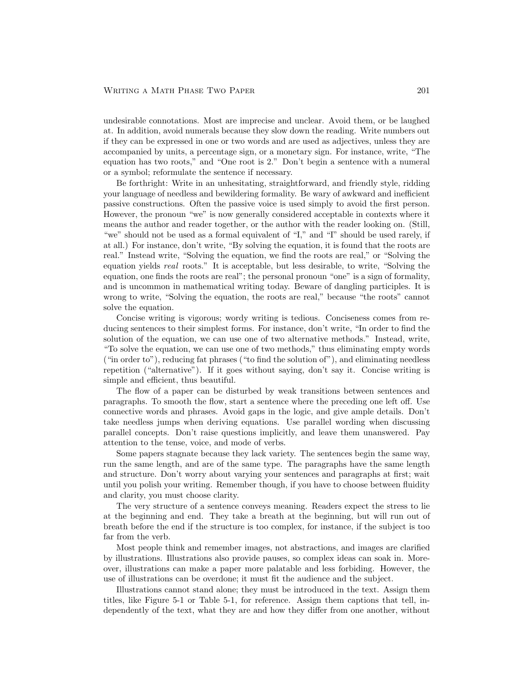undesirable connotations. Most are imprecise and unclear. Avoid them, or be laughed at. In addition, avoid numerals because they slow down the reading. Write numbers out if they can be expressed in one or two words and are used as adjectives, unless they are accompanied by units, a percentage sign, or a monetary sign. For instance, write, "The equation has two roots," and "One root is 2." Don't begin a sentence with a numeral or a symbol; reformulate the sentence if necessary.

Be forthright: Write in an unhesitating, straightforward, and friendly style, ridding your language of needless and bewildering formality. Be wary of awkward and inefficient passive constructions. Often the passive voice is used simply to avoid the first person. However, the pronoun "we" is now generally considered acceptable in contexts where it means the author and reader together, or the author with the reader looking on. (Still, "we" should not be used as a formal equivalent of "I," and "I" should be used rarely, if at all.) For instance, don't write, "By solving the equation, it is found that the roots are real." Instead write, "Solving the equation, we find the roots are real," or "Solving the equation yields real roots." It is acceptable, but less desirable, to write, "Solving the equation, one finds the roots are real"; the personal pronoun "one" is a sign of formality, and is uncommon in mathematical writing today. Beware of dangling participles. It is wrong to write, "Solving the equation, the roots are real," because "the roots" cannot solve the equation.

Concise writing is vigorous; wordy writing is tedious. Conciseness comes from reducing sentences to their simplest forms. For instance, don't write, "In order to find the solution of the equation, we can use one of two alternative methods." Instead, write, "To solve the equation, we can use one of two methods," thus eliminating empty words ("in order to"), reducing fat phrases ("to find the solution of"), and eliminating needless repetition ("alternative"). If it goes without saying, don't say it. Concise writing is simple and efficient, thus beautiful.

The flow of a paper can be disturbed by weak transitions between sentences and paragraphs. To smooth the flow, start a sentence where the preceding one left off. Use connective words and phrases. Avoid gaps in the logic, and give ample details. Don't take needless jumps when deriving equations. Use parallel wording when discussing parallel concepts. Don't raise questions implicitly, and leave them unanswered. Pay attention to the tense, voice, and mode of verbs.

Some papers stagnate because they lack variety. The sentences begin the same way, run the same length, and are of the same type. The paragraphs have the same length and structure. Don't worry about varying your sentences and paragraphs at first; wait until you polish your writing. Remember though, if you have to choose between fluidity and clarity, you must choose clarity.

The very structure of a sentence conveys meaning. Readers expect the stress to lie at the beginning and end. They take a breath at the beginning, but will run out of breath before the end if the structure is too complex, for instance, if the subject is too far from the verb.

Most people think and remember images, not abstractions, and images are clarified by illustrations. Illustrations also provide pauses, so complex ideas can soak in. Moreover, illustrations can make a paper more palatable and less forbiding. However, the use of illustrations can be overdone; it must fit the audience and the subject.

Illustrations cannot stand alone; they must be introduced in the text. Assign them titles, like Figure 5-1 or Table 5-1, for reference. Assign them captions that tell, independently of the text, what they are and how they differ from one another, without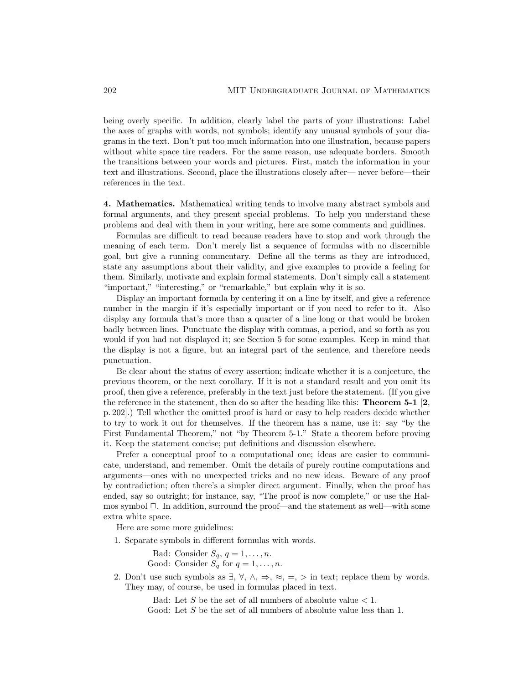being overly specific. In addition, clearly label the parts of your illustrations: Label the axes of graphs with words, not symbols; identify any unusual symbols of your diagrams in the text. Don't put too much information into one illustration, because papers without white space tire readers. For the same reason, use adequate borders. Smooth the transitions between your words and pictures. First, match the information in your text and illustrations. Second, place the illustrations closely after—never before—their references in the text.

4. Mathematics. Mathematical writing tends to involve many abstract symbols and formal arguments, and they present special problems. To help you understand these problems and deal with them in your writing, here are some comments and guidlines.

Formulas are difficult to read because readers have to stop and work through the meaning of each term. Don't merely list a sequence of formulas with no discernible goal, but give a running commentary. Define all the terms as they are introduced, state any assumptions about their validity, and give examples to provide a feeling for them. Similarly, motivate and explain formal statements. Don't simply call a statement "important," "interesting," or "remarkable," but explain why it is so.

Display an important formula by centering it on a line by itself, and give a reference number in the margin if it's especially important or if you need to refer to it. Also display any formula that's more than a quarter of a line long or that would be broken badly between lines. Punctuate the display with commas, a period, and so forth as you would if you had not displayed it; see Section 5 for some examples. Keep in mind that the display is not a figure, but an integral part of the sentence, and therefore needs punctuation.

Be clear about the status of every assertion; indicate whether it is a conjecture, the previous theorem, or the next corollary. If it is not a standard result and you omit its proof, then give a reference, preferably in the text just before the statement. (If you give the reference in the statement, then do so after the heading like this: **Theorem 5-1** [2, p. 202].) Tell whether the omitted proof is hard or easy to help readers decide whether to try to work it out for themselves. If the theorem has a name, use it: say "by the First Fundamental Theorem," not "by Theorem 5-1." State a theorem before proving it. Keep the statement concise; put definitions and discussion elsewhere.

Prefer a conceptual proof to a computational one; ideas are easier to communicate, understand, and remember. Omit the details of purely routine computations and arguments ones with no unexpected tricks and no new ideas. Beware of any proof by contradiction; often there's a simpler direct argument. Finally, when the proof has ended, say so outright; for instance, say, "The proof is now complete," or use the Halmos symbol  $\Box$ . In addition, surround the proof—and the statement as well—with some extra white space.

Here are some more guidelines:

1. Separate symbols in different formulas with words.

Bad: Consider  $S_q$ ,  $q = 1, \ldots, n$ .

Good: Consider  $S_q$  for  $q = 1, \ldots, n$ .

2. Don't use such symbols as  $\exists, \forall, \wedge, \Rightarrow, \approx, =, >$  in text; replace them by words. They may, of course, be used in formulas placed in text.

Bad: Let S be the set of all numbers of absolute value  $< 1$ .

Good: Let S be the set of all numbers of absolute value less than 1.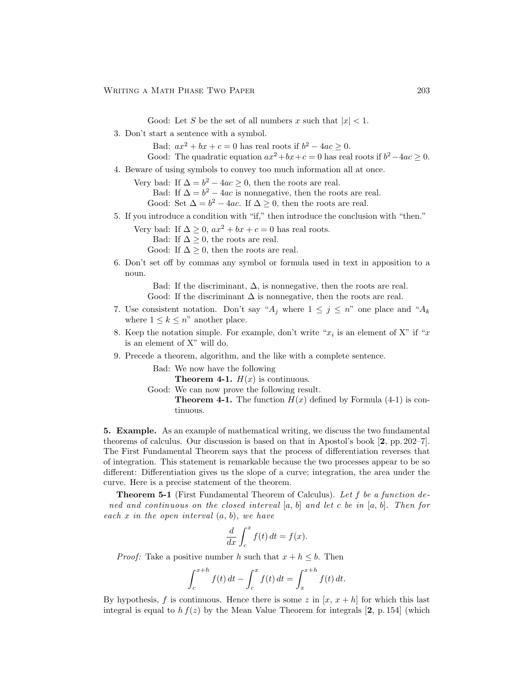Good: Let S be the set of all numbers x such that  $|x| < 1$ .

3. Don't start a sentence with a symbol.

Bad:  $ax^2 + bx + c = 0$  has real roots if  $b^2 - 4ac \ge 0$ .

- Good: The quadratic equation  $ax^2+bx+c=0$  has real roots if  $b^2-4ac \geq 0$ .
- 4. Beware of using symbols to convey too much information all at once.
	- Very bad: If  $\Delta = b^2 4ac \ge 0$ , then the roots are real.

Bad: If  $\Delta = b^2 - 4ac$  is nonnegative, then the roots are real.

- Good: Set  $\Delta = b^2 4ac$ . If  $\Delta \ge 0$ , then the roots are real.
- 5. If you introduce a condition with "if," then introduce the conclusion with "then."
	- Very bad: If  $\Delta \geq 0$ ,  $ax^2 + bx + c = 0$  has real roots.
		- Bad: If  $\Delta \geq 0$ , the roots are real.
		- Good: If  $\Delta \geq 0$ , then the roots are real.
- 6. Don't set off by commas any symbol or formula used in text in apposition to a noun.

Bad: If the discriminant,  $\Delta$ , is nonnegative, then the roots are real. Good: If the discriminant  $\Delta$  is nonnegative, then the roots are real.

- 7. Use consistent notation. Don't say " $A_j$  where  $1 \leq j \leq n$ " one place and " $A_k$ where  $1 \leq k \leq n$ " another place.
- 8. Keep the notation simple. For example, don't write " $x_i$  is an element of X" if " $x$ is an element of  $X$ " will do.
- 9. Precede a theorem, algorithm, and the like with a complete sentence.

Bad: We now have the following

**Theorem 4-1.**  $H(x)$  is continuous.

Good: We can now prove the following result.

**Theorem 4-1.** The function  $H(x)$  defined by Formula (4-1) is continuous.

5. Example. As an example of mathematical writing, we discuss the two fundamental theorems of calculus. Our discussion is based on that in Apostol's book [2, pp. 2027]. The First Fundamental Theorem says that the process of differentiation reverses that of integration. This statement is remarkable because the two processes appear to be so different: Differentiation gives us the slope of a curve; integration, the area under the curve. Here is a precise statement of the theorem.

**Theorem 5-1** (First Fundamental Theorem of Calculus). Let f be a function defined and continuous on the closed interval  $[a, b]$  and let c be in  $[a, b]$ . Then for each x in the open interval  $(a, b)$ , we have

$$
\frac{d}{dx} \int_{c}^{x} f(t) dt = f(x).
$$

*Proof:* Take a positive number h such that  $x + h \leq b$ . Then

$$
\int_{c}^{x+h} f(t) dt - \int_{c}^{x} f(t) dt = \int_{x}^{x+h} f(t) dt.
$$

By hypothesis, f is continuous. Hence there is some z in  $[x, x+h]$  for which this last integral is equal to  $hf(z)$  by the Mean Value Theorem for integrals [2, p. 154] (which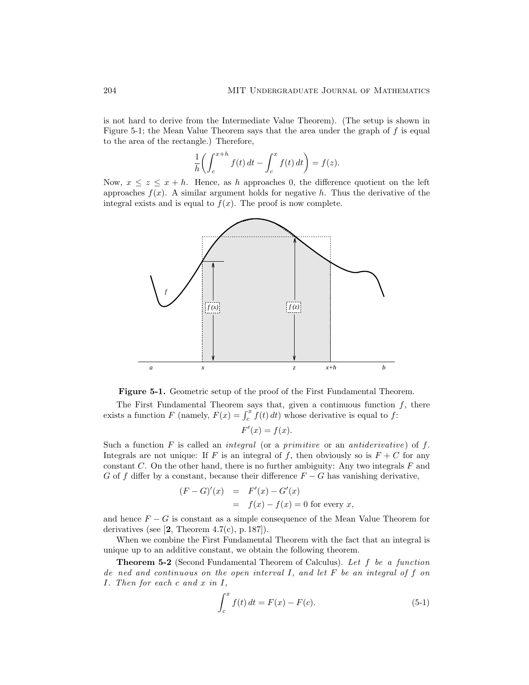is not hard to derive from the Intermediate Value Theorem). (The setup is shown in Figure 5-1; the Mean Value Theorem says that the area under the graph of  $f$  is equal to the area of the rectangle.) Therefore,

$$
\frac{1}{h}\bigg(\int_c^{x+h}f(t)\,dt-\int_c^xf(t)\,dt\bigg)=f(z).
$$

Now,  $x \leq z \leq x + h$ . Hence, as h approaches 0, the difference quotient on the left approaches  $f(x)$ . A similar argument holds for negative h. Thus the derivative of the integral exists and is equal to  $f(x)$ . The proof is now complete.



Figure 5-1. Geometric setup of the proof of the First Fundamental Theorem.

The First Fundamental Theorem says that, given a continuous function  $f$ , there exists a function F (namely,  $F(x) = \int_c^x f(t) dt$ ) whose derivative is equal to f:

$$
F'(x) = f(x).
$$

Such a function F is called an *integral* (or a *primitive* or an *antiderivative*) of f. Integrals are not unique: If F is an integral of f, then obviously so is  $F + C$  for any constant  $C$ . On the other hand, there is no further ambiguity: Any two integrals  $F$  and G of f differ by a constant, because their difference  $F - G$  has vanishing derivative,

$$
(F - G)'(x) = F'(x) - G'(x)
$$
  
=  $f(x) - f(x) = 0$  for every x,

and hence  $F - G$  is constant as a simple consequence of the Mean Value Theorem for derivatives (see  $[2,$  Theorem 4.7(c), p. 187]).

When we combine the First Fundamental Theorem with the fact that an integral is unique up to an additive constant, we obtain the following theorem.

Theorem 5-2 (Second Fundamental Theorem of Calculus). Let f be a function defined and continuous on the open interval I, and let F be an integral of f on I. Then for each c and x in I,

$$
\int_{c}^{x} f(t) dt = F(x) - F(c).
$$
 (5-1)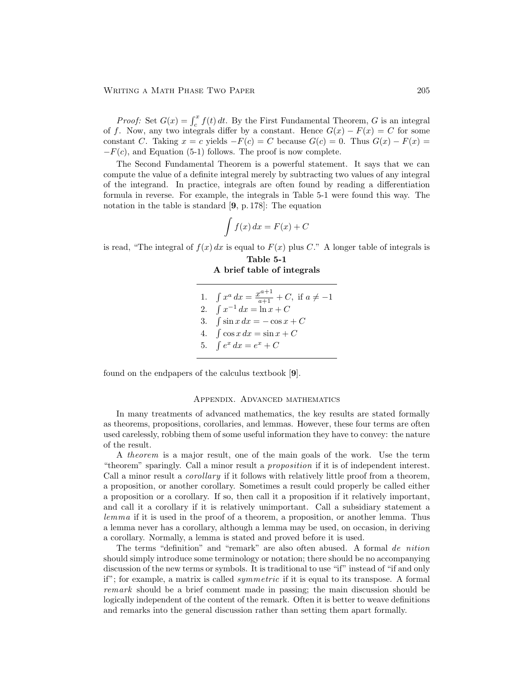*Proof:* Set  $G(x) = \int_c^x f(t) dt$ . By the First Fundamental Theorem, G is an integral of f. Now, any two integrals differ by a constant. Hence  $G(x) - F(x) = C$  for some constant C. Taking  $x = c$  yields  $-F(c) = C$  because  $G(c) = 0$ . Thus  $G(x) - F(x) =$  $-F(c)$ , and Equation (5-1) follows. The proof is now complete.

The Second Fundamental Theorem is a powerful statement. It says that we can compute the value of a definite integral merely by subtracting two values of any integral of the integrand. In practice, integrals are often found by reading a differentiation formula in reverse. For example, the integrals in Table 5-1 were found this way. The notation in the table is standard [9, p. 178]: The equation

$$
\int f(x) \, dx = F(x) + C
$$

is read, "The integral of  $f(x) dx$  is equal to  $F(x)$  plus C." A longer table of integrals is

Table 5-1 A brief table of integrals

| 1. $\int x^a dx = \frac{x^{a+1}}{a+1} + C$ , if $a \neq -1$ |
|-------------------------------------------------------------|
| 2. $\int x^{-1} dx = \ln x + C$                             |
| 3. $\int \sin x \, dx = -\cos x + C$                        |
| 4. $\int \cos x \, dx = \sin x + C$                         |
| 5. $\int e^x dx = e^x + C$                                  |
|                                                             |

found on the endpapers of the calculus textbook [9].

## Appendix. Advanced mathematics

In many treatments of advanced mathematics, the key results are stated formally as theorems, propositions, corollaries, and lemmas. However, these four terms are often used carelessly, robbing them of some useful information they have to convey: the nature of the result.

A theorem is a major result, one of the main goals of the work. Use the term "theorem" sparingly. Call a minor result a *proposition* if it is of independent interest. Call a minor result a *corollary* if it follows with relatively little proof from a theorem, a proposition, or another corollary. Sometimes a result could properly be called either a proposition or a corollary. If so, then call it a proposition if it relatively important, and call it a corollary if it is relatively unimportant. Call a subsidiary statement a lemma if it is used in the proof of a theorem, a proposition, or another lemma. Thus a lemma never has a corollary, although a lemma may be used, on occasion, in deriving a corollary. Normally, a lemma is stated and proved before it is used.

The terms "definition" and "remark" are also often abused. A formal  $definition$ should simply introduce some terminology or notation; there should be no accompanying discussion of the new terms or symbols. It is traditional to use "if" instead of "if and only if"; for example, a matrix is called *symmetric* if it is equal to its transpose. A formal remark should be a brief comment made in passing; the main discussion should be logically independent of the content of the remark. Often it is better to weave definitions and remarks into the general discussion rather than setting them apart formally.